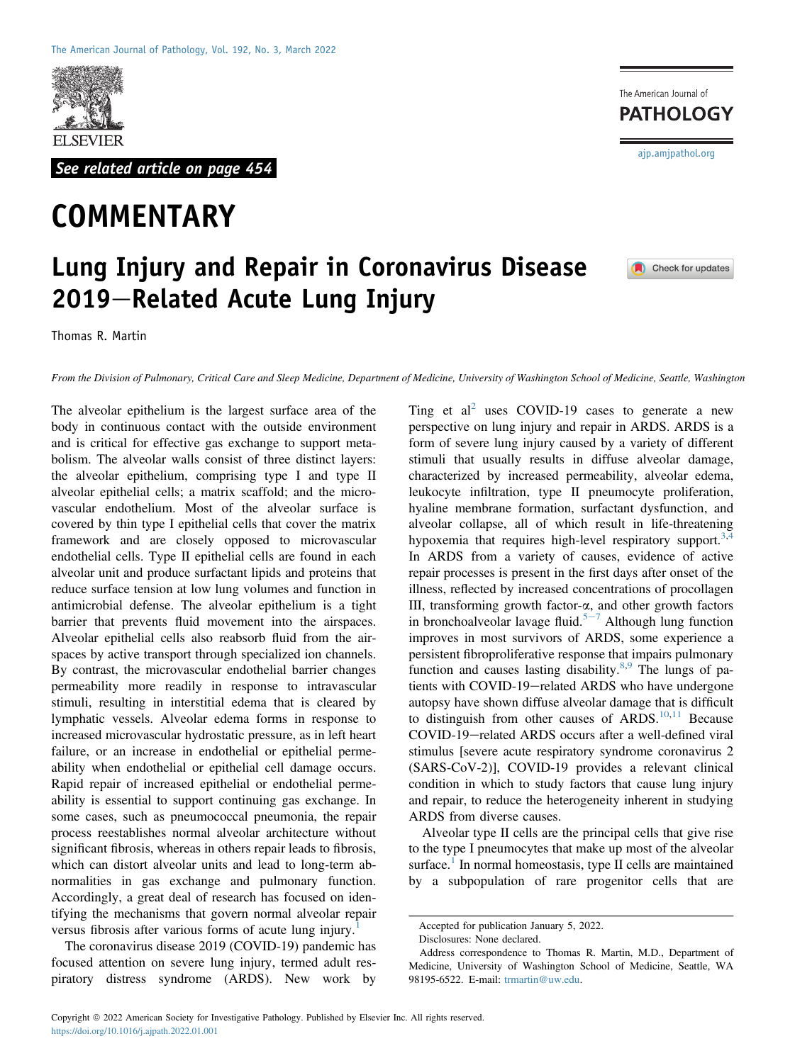

See related article on page 454

## **COMMENTARY**

The American Journal of **PATHOLOGY** 

[ajp.amjpathol.org](http://ajp.amjpathol.org)

Check for updates

## Lung Injury and Repair in Coronavirus Disease 2019–Related Acute Lung Injury

From the Division of Pulmonary, Critical Care and Sleep Medicine, Department of Medicine, University of Washington School of Medicine, Seattle, Washington

The alveolar epithelium is the largest surface area of the body in continuous contact with the outside environment and is critical for effective gas exchange to support metabolism. The alveolar walls consist of three distinct layers: the alveolar epithelium, comprising type I and type II alveolar epithelial cells; a matrix scaffold; and the microvascular endothelium. Most of the alveolar surface is covered by thin type I epithelial cells that cover the matrix framework and are closely opposed to microvascular endothelial cells. Type II epithelial cells are found in each alveolar unit and produce surfactant lipids and proteins that reduce surface tension at low lung volumes and function in antimicrobial defense. The alveolar epithelium is a tight barrier that prevents fluid movement into the airspaces. Alveolar epithelial cells also reabsorb fluid from the airspaces by active transport through specialized ion channels. By contrast, the microvascular endothelial barrier changes permeability more readily in response to intravascular stimuli, resulting in interstitial edema that is cleared by lymphatic vessels. Alveolar edema forms in response to increased microvascular hydrostatic pressure, as in left heart failure, or an increase in endothelial or epithelial permeability when endothelial or epithelial cell damage occurs. Rapid repair of increased epithelial or endothelial permeability is essential to support continuing gas exchange. In some cases, such as pneumococcal pneumonia, the repair process reestablishes normal alveolar architecture without significant fibrosis, whereas in others repair leads to fibrosis, which can distort alveolar units and lead to long-term abnormalities in gas exchange and pulmonary function. Accordingly, a great deal of research has focused on identifying the mechanisms that govern normal alveolar repair versus fibrosis after various forms of acute lung injury.<sup>[1](#page-2-0)</sup>

The coronavirus disease 2019 (COVID-19) pandemic has focused attention on severe lung injury, termed adult respiratory distress syndrome (ARDS). New work by

Ting et  $al^2$  $al^2$  uses COVID-19 cases to generate a new perspective on lung injury and repair in ARDS. ARDS is a form of severe lung injury caused by a variety of different stimuli that usually results in diffuse alveolar damage, characterized by increased permeability, alveolar edema, leukocyte infiltration, type II pneumocyte proliferation, hyaline membrane formation, surfactant dysfunction, and alveolar collapse, all of which result in life-threatening hypoxemia that requires high-level respiratory support.<sup>[3](#page-2-2)[,4](#page-2-3)</sup> In ARDS from a variety of causes, evidence of active repair processes is present in the first days after onset of the illness, reflected by increased concentrations of procollagen III, transforming growth factor- $\alpha$ , and other growth factors in bronchoalveolar lavage fluid.<sup>[5](#page-2-4)-[7](#page-2-4)</sup> Although lung function improves in most survivors of ARDS, some experience a persistent fibroproliferative response that impairs pulmonary function and causes lasting disability. $8.9$  $8.9$  The lungs of patients with COVID-19-related ARDS who have undergone autopsy have shown diffuse alveolar damage that is difficult to distinguish from other causes of ARDS. $10,11$  $10,11$  Because COVID-19-related ARDS occurs after a well-defined viral stimulus [severe acute respiratory syndrome coronavirus 2 (SARS-CoV-2)], COVID-19 provides a relevant clinical condition in which to study factors that cause lung injury and repair, to reduce the heterogeneity inherent in studying ARDS from diverse causes.

Alveolar type II cells are the principal cells that give rise to the type I pneumocytes that make up most of the alveolar surface.<sup>[1](#page-2-0)</sup> In normal homeostasis, type II cells are maintained by a subpopulation of rare progenitor cells that are

Accepted for publication January 5, 2022.

Disclosures: None declared.

Address correspondence to Thomas R. Martin, M.D., Department of Medicine, University of Washington School of Medicine, Seattle, WA 98195-6522. E-mail: [trmartin@uw.edu.](mailto:trmartin@uw.edu)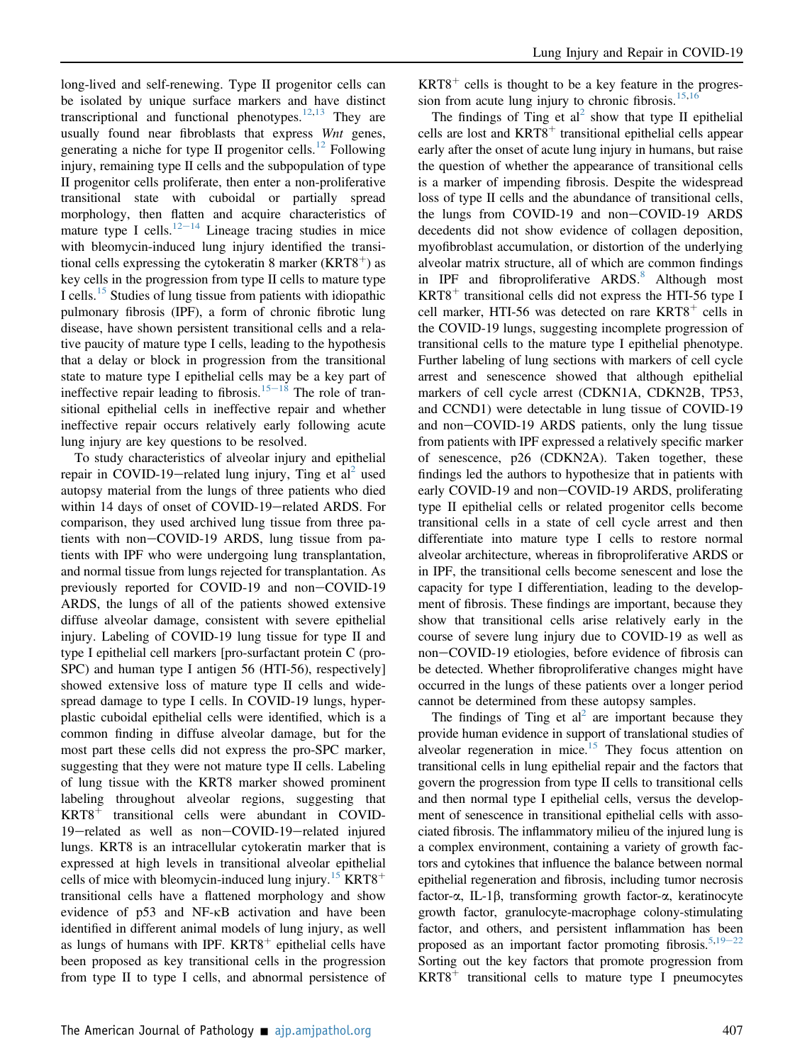long-lived and self-renewing. Type II progenitor cells can be isolated by unique surface markers and have distinct transcriptional and functional phenotypes. $12,13$  $12,13$  They are usually found near fibroblasts that express Wnt genes, generating a niche for type II progenitor cells.<sup>[12](#page-2-9)</sup> Following injury, remaining type II cells and the subpopulation of type II progenitor cells proliferate, then enter a non-proliferative transitional state with cuboidal or partially spread morphology, then flatten and acquire characteristics of mature type I cells.<sup>[12](#page-2-9)–[14](#page-2-9)</sup> Lineage tracing studies in mice with bleomycin-induced lung injury identified the transitional cells expressing the cytokeratin 8 marker ( $KRT8<sup>+</sup>$ ) as key cells in the progression from type II cells to mature type I cells.<sup>[15](#page-2-11)</sup> Studies of lung tissue from patients with idiopathic pulmonary fibrosis (IPF), a form of chronic fibrotic lung disease, have shown persistent transitional cells and a relative paucity of mature type I cells, leading to the hypothesis that a delay or block in progression from the transitional state to mature type I epithelial cells may be a key part of ineffective repair leading to fibrosis.<sup>[15](#page-2-11)-[18](#page-2-11)</sup> The role of transitional epithelial cells in ineffective repair and whether ineffective repair occurs relatively early following acute lung injury are key questions to be resolved.

To study characteristics of alveolar injury and epithelial repair in COVID-19-related lung injury, Ting et al<sup>[2](#page-2-1)</sup> used autopsy material from the lungs of three patients who died within 14 days of onset of COVID-19-related ARDS. For comparison, they used archived lung tissue from three patients with non-COVID-19 ARDS, lung tissue from patients with IPF who were undergoing lung transplantation, and normal tissue from lungs rejected for transplantation. As previously reported for COVID-19 and non-COVID-19 ARDS, the lungs of all of the patients showed extensive diffuse alveolar damage, consistent with severe epithelial injury. Labeling of COVID-19 lung tissue for type II and type I epithelial cell markers [pro-surfactant protein C (pro-SPC) and human type I antigen 56 (HTI-56), respectively] showed extensive loss of mature type II cells and widespread damage to type I cells. In COVID-19 lungs, hyperplastic cuboidal epithelial cells were identified, which is a common finding in diffuse alveolar damage, but for the most part these cells did not express the pro-SPC marker, suggesting that they were not mature type II cells. Labeling of lung tissue with the KRT8 marker showed prominent labeling throughout alveolar regions, suggesting that  $KRT8$ <sup>+</sup> transitional cells were abundant in COVID-19-related as well as non-COVID-19-related injured lungs. KRT8 is an intracellular cytokeratin marker that is expressed at high levels in transitional alveolar epithelial cells of mice with bleomycin-induced lung injury.<sup>[15](#page-2-11)</sup> KRT8<sup>+</sup> transitional cells have a flattened morphology and show evidence of p53 and NF-kB activation and have been identified in different animal models of lung injury, as well as lungs of humans with IPF.  $KRT8$ <sup>+</sup> epithelial cells have been proposed as key transitional cells in the progression from type II to type I cells, and abnormal persistence of  $KRT8$ <sup>+</sup> cells is thought to be a key feature in the progres-sion from acute lung injury to chronic fibrosis.<sup>[15](#page-2-11)[,16](#page-2-12)</sup>

The findings of Ting et al<sup>[2](#page-2-1)</sup> show that type II epithelial cells are lost and  $KRT8$ <sup>+</sup> transitional epithelial cells appear early after the onset of acute lung injury in humans, but raise the question of whether the appearance of transitional cells is a marker of impending fibrosis. Despite the widespread loss of type II cells and the abundance of transitional cells, the lungs from COVID-19 and non-COVID-19 ARDS decedents did not show evidence of collagen deposition, myofibroblast accumulation, or distortion of the underlying alveolar matrix structure, all of which are common findings in IPF and fibroproliferative  $ARDS^8$  $ARDS^8$  Although most  $KRT8$ <sup>+</sup> transitional cells did not express the HTI-56 type I cell marker, HTI-56 was detected on rare  $KRT8<sup>+</sup>$  cells in the COVID-19 lungs, suggesting incomplete progression of transitional cells to the mature type I epithelial phenotype. Further labeling of lung sections with markers of cell cycle arrest and senescence showed that although epithelial markers of cell cycle arrest (CDKN1A, CDKN2B, TP53, and CCND1) were detectable in lung tissue of COVID-19 and non-COVID-19 ARDS patients, only the lung tissue from patients with IPF expressed a relatively specific marker of senescence, p26 (CDKN2A). Taken together, these findings led the authors to hypothesize that in patients with early COVID-19 and non-COVID-19 ARDS, proliferating type II epithelial cells or related progenitor cells become transitional cells in a state of cell cycle arrest and then differentiate into mature type I cells to restore normal alveolar architecture, whereas in fibroproliferative ARDS or in IPF, the transitional cells become senescent and lose the capacity for type I differentiation, leading to the development of fibrosis. These findings are important, because they show that transitional cells arise relatively early in the course of severe lung injury due to COVID-19 as well as non-COVID-19 etiologies, before evidence of fibrosis can be detected. Whether fibroproliferative changes might have occurred in the lungs of these patients over a longer period cannot be determined from these autopsy samples.

The findings of Ting et al<sup>2</sup> are important because they provide human evidence in support of translational studies of alveolar regeneration in mice.<sup>[15](#page-2-11)</sup> They focus attention on transitional cells in lung epithelial repair and the factors that govern the progression from type II cells to transitional cells and then normal type I epithelial cells, versus the development of senescence in transitional epithelial cells with associated fibrosis. The inflammatory milieu of the injured lung is a complex environment, containing a variety of growth factors and cytokines that influence the balance between normal epithelial regeneration and fibrosis, including tumor necrosis factor-a, IL-1b, transforming growth factor-a, keratinocyte growth factor, granulocyte-macrophage colony-stimulating factor, and others, and persistent inflammation has been proposed as an important factor promoting fibrosis.<sup>5,[19](#page-2-13)-[22](#page-2-13)</sup> Sorting out the key factors that promote progression from  $KRT8$ <sup>+</sup> transitional cells to mature type I pneumocytes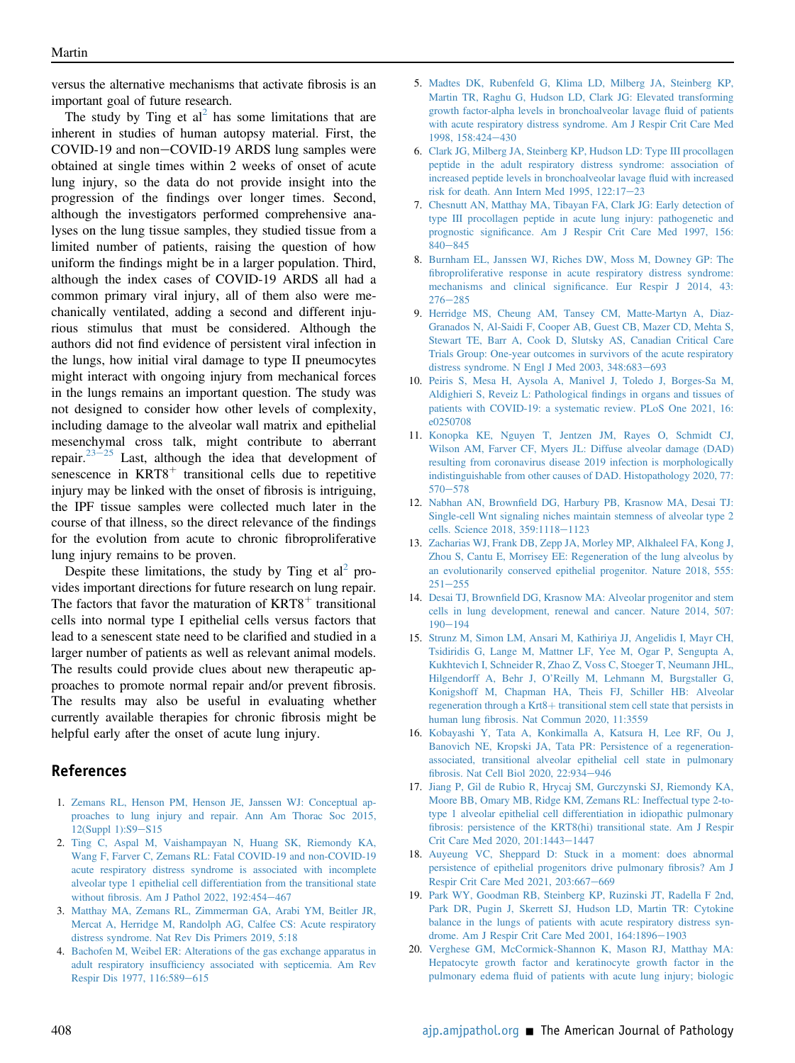versus the alternative mechanisms that activate fibrosis is an important goal of future research.

The study by Ting et  $al^2$  $al^2$  has some limitations that are inherent in studies of human autopsy material. First, the COVID-19 and non-COVID-19 ARDS lung samples were obtained at single times within 2 weeks of onset of acute lung injury, so the data do not provide insight into the progression of the findings over longer times. Second, although the investigators performed comprehensive analyses on the lung tissue samples, they studied tissue from a limited number of patients, raising the question of how uniform the findings might be in a larger population. Third, although the index cases of COVID-19 ARDS all had a common primary viral injury, all of them also were mechanically ventilated, adding a second and different injurious stimulus that must be considered. Although the authors did not find evidence of persistent viral infection in the lungs, how initial viral damage to type II pneumocytes might interact with ongoing injury from mechanical forces in the lungs remains an important question. The study was not designed to consider how other levels of complexity, including damage to the alveolar wall matrix and epithelial mesenchymal cross talk, might contribute to aberrant repair.<sup>[23](#page-3-0)–[25](#page-3-0)</sup> Last, although the idea that development of senescence in  $KRT8$ <sup>+</sup> transitional cells due to repetitive injury may be linked with the onset of fibrosis is intriguing, the IPF tissue samples were collected much later in the course of that illness, so the direct relevance of the findings for the evolution from acute to chronic fibroproliferative lung injury remains to be proven.

Despite these limitations, the study by Ting et  $al^2$  $al^2$  provides important directions for future research on lung repair. The factors that favor the maturation of  $KRT8<sup>+</sup>$  transitional cells into normal type I epithelial cells versus factors that lead to a senescent state need to be clarified and studied in a larger number of patients as well as relevant animal models. The results could provide clues about new therapeutic approaches to promote normal repair and/or prevent fibrosis. The results may also be useful in evaluating whether currently available therapies for chronic fibrosis might be helpful early after the onset of acute lung injury.

## References

- <span id="page-2-0"></span>1. [Zemans RL, Henson PM, Henson JE, Janssen WJ: Conceptual ap](http://refhub.elsevier.com/S0002-9440(22)00001-3/sref1)[proaches to lung injury and repair. Ann Am Thorac Soc 2015,](http://refhub.elsevier.com/S0002-9440(22)00001-3/sref1)  $12(Suppl 1):S9-S15$  $12(Suppl 1):S9-S15$  $12(Suppl 1):S9-S15$
- <span id="page-2-1"></span>2. [Ting C, Aspal M, Vaishampayan N, Huang SK, Riemondy KA,](http://refhub.elsevier.com/S0002-9440(22)00001-3/sref2) [Wang F, Farver C, Zemans RL: Fatal COVID-19 and non-COVID-19](http://refhub.elsevier.com/S0002-9440(22)00001-3/sref2) [acute respiratory distress syndrome is associated with incomplete](http://refhub.elsevier.com/S0002-9440(22)00001-3/sref2) [alveolar type 1 epithelial cell differentiation from the transitional state](http://refhub.elsevier.com/S0002-9440(22)00001-3/sref2) without fi[brosis. Am J Pathol 2022, 192:454](http://refhub.elsevier.com/S0002-9440(22)00001-3/sref2)-[467](http://refhub.elsevier.com/S0002-9440(22)00001-3/sref2)
- <span id="page-2-2"></span>3. [Matthay MA, Zemans RL, Zimmerman GA, Arabi YM, Beitler JR,](http://refhub.elsevier.com/S0002-9440(22)00001-3/sref3) [Mercat A, Herridge M, Randolph AG, Calfee CS: Acute respiratory](http://refhub.elsevier.com/S0002-9440(22)00001-3/sref3) [distress syndrome. Nat Rev Dis Primers 2019, 5:18](http://refhub.elsevier.com/S0002-9440(22)00001-3/sref3)
- <span id="page-2-3"></span>4. [Bachofen M, Weibel ER: Alterations of the gas exchange apparatus in](http://refhub.elsevier.com/S0002-9440(22)00001-3/sref4) adult respiratory insuffi[ciency associated with septicemia. Am Rev](http://refhub.elsevier.com/S0002-9440(22)00001-3/sref4) [Respir Dis 1977, 116:589](http://refhub.elsevier.com/S0002-9440(22)00001-3/sref4)-[615](http://refhub.elsevier.com/S0002-9440(22)00001-3/sref4)
- <span id="page-2-4"></span>5. [Madtes DK, Rubenfeld G, Klima LD, Milberg JA, Steinberg KP,](http://refhub.elsevier.com/S0002-9440(22)00001-3/sref5) [Martin TR, Raghu G, Hudson LD, Clark JG: Elevated transforming](http://refhub.elsevier.com/S0002-9440(22)00001-3/sref5) [growth factor-alpha levels in bronchoalveolar lavage](http://refhub.elsevier.com/S0002-9440(22)00001-3/sref5) fluid of patients [with acute respiratory distress syndrome. Am J Respir Crit Care Med](http://refhub.elsevier.com/S0002-9440(22)00001-3/sref5) [1998, 158:424](http://refhub.elsevier.com/S0002-9440(22)00001-3/sref5)-[430](http://refhub.elsevier.com/S0002-9440(22)00001-3/sref5)
- 6. [Clark JG, Milberg JA, Steinberg KP, Hudson LD: Type III procollagen](http://refhub.elsevier.com/S0002-9440(22)00001-3/sref6) [peptide in the adult respiratory distress syndrome: association of](http://refhub.elsevier.com/S0002-9440(22)00001-3/sref6) [increased peptide levels in bronchoalveolar lavage](http://refhub.elsevier.com/S0002-9440(22)00001-3/sref6) fluid with increased risk for death. Ann Intern Med 1995,  $122:17-23$  $122:17-23$
- 7. [Chesnutt AN, Matthay MA, Tibayan FA, Clark JG: Early detection of](http://refhub.elsevier.com/S0002-9440(22)00001-3/sref7) [type III procollagen peptide in acute lung injury: pathogenetic and](http://refhub.elsevier.com/S0002-9440(22)00001-3/sref7) prognostic signifi[cance. Am J Respir Crit Care Med 1997, 156:](http://refhub.elsevier.com/S0002-9440(22)00001-3/sref7)  $840 - 845$  $840 - 845$  $840 - 845$
- <span id="page-2-5"></span>8. [Burnham EL, Janssen WJ, Riches DW, Moss M, Downey GP: The](http://refhub.elsevier.com/S0002-9440(22)00001-3/sref8) fi[broproliferative response in acute respiratory distress syndrome:](http://refhub.elsevier.com/S0002-9440(22)00001-3/sref8) mechanisms and clinical signifi[cance. Eur Respir J 2014, 43:](http://refhub.elsevier.com/S0002-9440(22)00001-3/sref8)  $276 - 285$  $276 - 285$  $276 - 285$
- <span id="page-2-6"></span>9. [Herridge MS, Cheung AM, Tansey CM, Matte-Martyn A, Diaz-](http://refhub.elsevier.com/S0002-9440(22)00001-3/sref9)[Granados N, Al-Saidi F, Cooper AB, Guest CB, Mazer CD, Mehta S,](http://refhub.elsevier.com/S0002-9440(22)00001-3/sref9) [Stewart TE, Barr A, Cook D, Slutsky AS, Canadian Critical Care](http://refhub.elsevier.com/S0002-9440(22)00001-3/sref9) [Trials Group: One-year outcomes in survivors of the acute respiratory](http://refhub.elsevier.com/S0002-9440(22)00001-3/sref9) [distress syndrome. N Engl J Med 2003, 348:683](http://refhub.elsevier.com/S0002-9440(22)00001-3/sref9)-[693](http://refhub.elsevier.com/S0002-9440(22)00001-3/sref9)
- <span id="page-2-7"></span>10. [Peiris S, Mesa H, Aysola A, Manivel J, Toledo J, Borges-Sa M,](http://refhub.elsevier.com/S0002-9440(22)00001-3/sref10) [Aldighieri S, Reveiz L: Pathological](http://refhub.elsevier.com/S0002-9440(22)00001-3/sref10) findings in organs and tissues of [patients with COVID-19: a systematic review. PLoS One 2021, 16:](http://refhub.elsevier.com/S0002-9440(22)00001-3/sref10) [e0250708](http://refhub.elsevier.com/S0002-9440(22)00001-3/sref10)
- <span id="page-2-8"></span>11. [Konopka KE, Nguyen T, Jentzen JM, Rayes O, Schmidt CJ,](http://refhub.elsevier.com/S0002-9440(22)00001-3/sref11) [Wilson AM, Farver CF, Myers JL: Diffuse alveolar damage \(DAD\)](http://refhub.elsevier.com/S0002-9440(22)00001-3/sref11) [resulting from coronavirus disease 2019 infection is morphologically](http://refhub.elsevier.com/S0002-9440(22)00001-3/sref11) [indistinguishable from other causes of DAD. Histopathology 2020, 77:](http://refhub.elsevier.com/S0002-9440(22)00001-3/sref11)  $570 - 578$  $570 - 578$  $570 - 578$
- <span id="page-2-9"></span>12. Nabhan AN, Brownfi[eld DG, Harbury PB, Krasnow MA, Desai TJ:](http://refhub.elsevier.com/S0002-9440(22)00001-3/sref12) [Single-cell Wnt signaling niches maintain stemness of alveolar type 2](http://refhub.elsevier.com/S0002-9440(22)00001-3/sref12) [cells. Science 2018, 359:1118](http://refhub.elsevier.com/S0002-9440(22)00001-3/sref12)-[1123](http://refhub.elsevier.com/S0002-9440(22)00001-3/sref12)
- <span id="page-2-10"></span>13. [Zacharias WJ, Frank DB, Zepp JA, Morley MP, Alkhaleel FA, Kong J,](http://refhub.elsevier.com/S0002-9440(22)00001-3/sref13) [Zhou S, Cantu E, Morrisey EE: Regeneration of the lung alveolus by](http://refhub.elsevier.com/S0002-9440(22)00001-3/sref13) [an evolutionarily conserved epithelial progenitor. Nature 2018, 555:](http://refhub.elsevier.com/S0002-9440(22)00001-3/sref13)  $251 - 255$  $251 - 255$  $251 - 255$
- 14. Desai TJ, Brownfi[eld DG, Krasnow MA: Alveolar progenitor and stem](http://refhub.elsevier.com/S0002-9440(22)00001-3/sref14) [cells in lung development, renewal and cancer. Nature 2014, 507:](http://refhub.elsevier.com/S0002-9440(22)00001-3/sref14)  $190 - 194$  $190 - 194$  $190 - 194$
- <span id="page-2-11"></span>15. [Strunz M, Simon LM, Ansari M, Kathiriya JJ, Angelidis I, Mayr CH,](http://refhub.elsevier.com/S0002-9440(22)00001-3/sref15) [Tsidiridis G, Lange M, Mattner LF, Yee M, Ogar P, Sengupta A,](http://refhub.elsevier.com/S0002-9440(22)00001-3/sref15) [Kukhtevich I, Schneider R, Zhao Z, Voss C, Stoeger T, Neumann JHL,](http://refhub.elsevier.com/S0002-9440(22)00001-3/sref15) Hilgendorff A, Behr J, O'[Reilly M, Lehmann M, Burgstaller G,](http://refhub.elsevier.com/S0002-9440(22)00001-3/sref15) [Konigshoff M, Chapman HA, Theis FJ, Schiller HB: Alveolar](http://refhub.elsevier.com/S0002-9440(22)00001-3/sref15) [regeneration through a Krt8](http://refhub.elsevier.com/S0002-9440(22)00001-3/sref15)+ [transitional stem cell state that persists in](http://refhub.elsevier.com/S0002-9440(22)00001-3/sref15) human lung fi[brosis. Nat Commun 2020, 11:3559](http://refhub.elsevier.com/S0002-9440(22)00001-3/sref15)
- <span id="page-2-12"></span>16. [Kobayashi Y, Tata A, Konkimalla A, Katsura H, Lee RF, Ou J,](http://refhub.elsevier.com/S0002-9440(22)00001-3/sref16) [Banovich NE, Kropski JA, Tata PR: Persistence of a regeneration](http://refhub.elsevier.com/S0002-9440(22)00001-3/sref16)[associated, transitional alveolar epithelial cell state in pulmonary](http://refhub.elsevier.com/S0002-9440(22)00001-3/sref16) fi[brosis. Nat Cell Biol 2020, 22:934](http://refhub.elsevier.com/S0002-9440(22)00001-3/sref16)-[946](http://refhub.elsevier.com/S0002-9440(22)00001-3/sref16)
- 17. [Jiang P, Gil de Rubio R, Hrycaj SM, Gurczynski SJ, Riemondy KA,](http://refhub.elsevier.com/S0002-9440(22)00001-3/sref17) [Moore BB, Omary MB, Ridge KM, Zemans RL: Ineffectual type 2-to](http://refhub.elsevier.com/S0002-9440(22)00001-3/sref17)[type 1 alveolar epithelial cell differentiation in idiopathic pulmonary](http://refhub.elsevier.com/S0002-9440(22)00001-3/sref17) fi[brosis: persistence of the KRT8\(hi\) transitional state. Am J Respir](http://refhub.elsevier.com/S0002-9440(22)00001-3/sref17) [Crit Care Med 2020, 201:1443](http://refhub.elsevier.com/S0002-9440(22)00001-3/sref17)-[1447](http://refhub.elsevier.com/S0002-9440(22)00001-3/sref17)
- 18. [Auyeung VC, Sheppard D: Stuck in a moment: does abnormal](http://refhub.elsevier.com/S0002-9440(22)00001-3/sref18) [persistence of epithelial progenitors drive pulmonary](http://refhub.elsevier.com/S0002-9440(22)00001-3/sref18) fibrosis? Am J [Respir Crit Care Med 2021, 203:667](http://refhub.elsevier.com/S0002-9440(22)00001-3/sref18)-[669](http://refhub.elsevier.com/S0002-9440(22)00001-3/sref18)
- <span id="page-2-13"></span>19. [Park WY, Goodman RB, Steinberg KP, Ruzinski JT, Radella F 2nd,](http://refhub.elsevier.com/S0002-9440(22)00001-3/sref19) [Park DR, Pugin J, Skerrett SJ, Hudson LD, Martin TR: Cytokine](http://refhub.elsevier.com/S0002-9440(22)00001-3/sref19) [balance in the lungs of patients with acute respiratory distress syn](http://refhub.elsevier.com/S0002-9440(22)00001-3/sref19)[drome. Am J Respir Crit Care Med 2001, 164:1896](http://refhub.elsevier.com/S0002-9440(22)00001-3/sref19)-[1903](http://refhub.elsevier.com/S0002-9440(22)00001-3/sref19)
- 20. [Verghese GM, McCormick-Shannon K, Mason RJ, Matthay MA:](http://refhub.elsevier.com/S0002-9440(22)00001-3/sref20) [Hepatocyte growth factor and keratinocyte growth factor in the](http://refhub.elsevier.com/S0002-9440(22)00001-3/sref20) pulmonary edema fl[uid of patients with acute lung injury; biologic](http://refhub.elsevier.com/S0002-9440(22)00001-3/sref20)